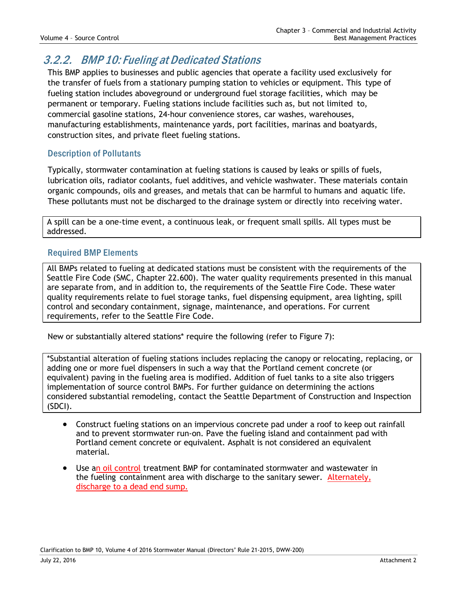## 3.2.2. BMP 10: Fueling at Dedicated Stations

This BMP applies to businesses and public agencies that operate a facility used exclusively for the transfer of fuels from a stationary pumping station to vehicles or equipment. This type of fueling station includes aboveground or underground fuel storage facilities, which may be permanent or temporary. Fueling stations include facilities such as, but not limited to, commercial gasoline stations, 24-hour convenience stores, car washes, warehouses, manufacturing establishments, maintenance yards, port facilities, marinas and boatyards, construction sites, and private fleet fueling stations.

## Description of Pollutants

Typically, stormwater contamination at fueling stations is caused by leaks or spills of fuels, lubrication oils, radiator coolants, fuel additives, and vehicle washwater. These materials contain organic compounds, oils and greases, and metals that can be harmful to humans and aquatic life. These pollutants must not be discharged to the drainage system or directly into receiving water.

A spill can be a one-time event, a continuous leak, or frequent small spills. All types must be addressed.

## Required BMP Elements

All BMPs related to fueling at dedicated stations must be consistent with the requirements of the Seattle Fire Code (SMC, Chapter 22.600). The water quality requirements presented in this manual are separate from, and in addition to, the requirements of the Seattle Fire Code. These water quality requirements relate to fuel storage tanks, fuel dispensing equipment, area lighting, spill control and secondary containment, signage, maintenance, and operations. For current requirements, refer to the Seattle Fire Code.

New or substantially altered stations\* require the following (refer to Figure 7):

\*Substantial alteration of fueling stations includes replacing the canopy or relocating, replacing, or adding one or more fuel dispensers in such a way that the Portland cement concrete (or equivalent) paving in the fueling area is modified. Addition of fuel tanks to a site also triggers implementation of source control BMPs. For further guidance on determining the actions considered substantial remodeling, contact the Seattle Department of Construction and Inspection (SDCI).

- Construct fueling stations on an impervious concrete pad under a roof to keep out rainfall and to prevent stormwater run-on. Pave the fueling island and containment pad with Portland cement concrete or equivalent. Asphalt is not considered an equivalent material.
- Use an oil control treatment BMP for contaminated stormwater and wastewater in the fueling containment area with discharge to the sanitary sewer. Alternately, discharge to a dead end sump.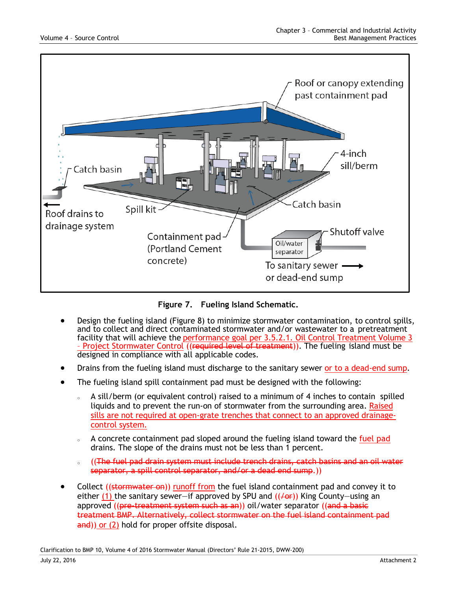

**Figure 7. Fueling Island Schematic.**

- Design the fueling island (Figure 8) to minimize stormwater contamination, to control spills, and to collect and direct contaminated stormwater and/or wastewater to a pretreatment facility that will achieve the performance goal per 3.5.2.1. Oil Control Treatment Volume 3 – Project Stormwater Control ((required level of treatment)). The fueling island must be designed in compliance with all applicable codes.
- Drains from the fueling island must discharge to the sanitary sewer or to a dead-end sump.
- The fueling island spill containment pad must be designed with the following:
	- $\delta$  A sill/berm (or equivalent control) raised to a minimum of 4 inches to contain spilled liquids and to prevent the run-on of stormwater from the surrounding area. Raised sills are not required at open-grate trenches that connect to an approved drainagecontrol system.
	- $\delta$  A concrete containment pad sloped around the fueling island toward the fuel pad drains. The slope of the drains must not be less than 1 percent.
	- o (The fuel pad drain system must include trench drains, catch basins and an oil water separator, a spill control separator, and/or a dead end sump.))
- Collect ((stormwater on)) runoff from the fuel island containment pad and convey it to either (1) the sanitary sewer—if approved by SPU and  $((\sqrt{ar}))$  King County—using an approved ((<del>pre-treatment system such as an</del>)) oil/water separator ((and a basic treatment BMP. Alternatively, collect stormwater on the fuel island containment pad and)) or (2) hold for proper offsite disposal.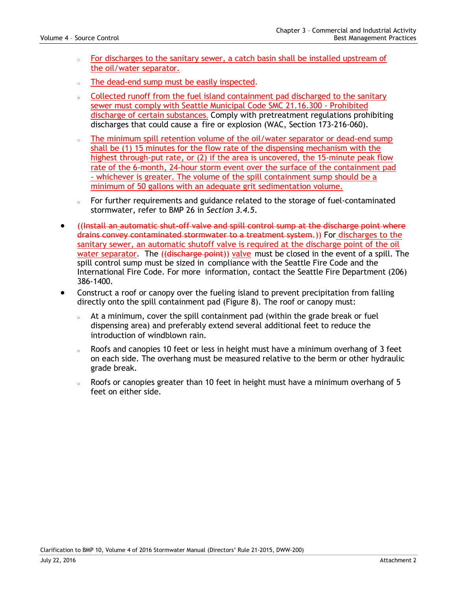- For discharges to the sanitary sewer, a catch basin shall be installed upstream of the oil/water separator.
- The dead-end sump must be easily inspected.
- o Collected runoff from the fuel island containment pad discharged to the sanitary sewer must comply with Seattle Municipal Code SMC 21.16.300 - Prohibited discharge of certain substances. Comply with pretreatment regulations prohibiting discharges that could cause a fire or explosion (WAC, Section 173-216-060).
- The minimum spill retention volume of the oil/water separator or dead-end sump shall be (1) 15 minutes for the flow rate of the dispensing mechanism with the highest through-put rate, or (2) if the area is uncovered, the 15-minute peak flow rate of the 6-month, 24-hour storm event over the surface of the containment pad - whichever is greater. The volume of the spill containment sump should be a minimum of 50 gallons with an adequate grit sedimentation volume.
- o For further requirements and guidance related to the storage of fuel-contaminated stormwater, refer to BMP 26 in *Section 3.4.5*.
- ((Install an automatic shut-off valve and spill control sump at the discharge point where drains convey contaminated stormwater to a treatment system.)) For discharges to the sanitary sewer, an automatic shutoff valve is required at the discharge point of the oil water separator. The ((discharge point)) valve must be closed in the event of a spill. The spill control sump must be sized in compliance with the Seattle Fire Code and the International Fire Code. For more information, contact the Seattle Fire Department (206) 386-1400.
- Construct a roof or canopy over the fueling island to prevent precipitation from falling directly onto the spill containment pad (Figure 8). The roof or canopy must:
	- o At a minimum, cover the spill containment pad (within the grade break or fuel dispensing area) and preferably extend several additional feet to reduce the introduction of windblown rain.
	- $\delta$  Roofs and canopies 10 feet or less in height must have a minimum overhang of 3 feet on each side. The overhang must be measured relative to the berm or other hydraulic grade break.
	- $\delta$  Roofs or canopies greater than 10 feet in height must have a minimum overhang of 5 feet on either side.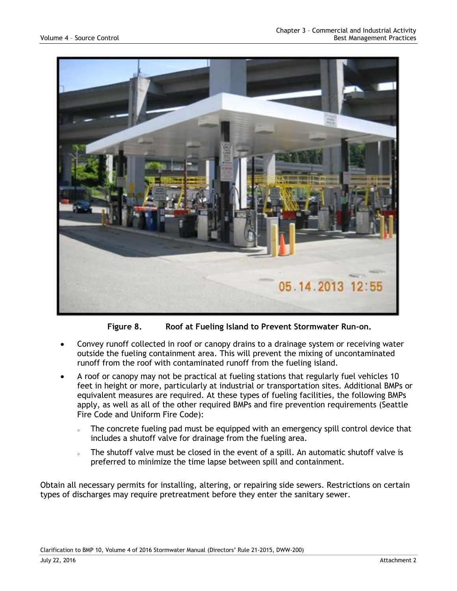

**Figure 8. Roof at Fueling Island to Prevent Stormwater Run-on.**

- Convey runoff collected in roof or canopy drains to a drainage system or receiving water outside the fueling containment area. This will prevent the mixing of uncontaminated runoff from the roof with contaminated runoff from the fueling island.
- A roof or canopy may not be practical at fueling stations that regularly fuel vehicles 10 feet in height or more, particularly at industrial or transportation sites. Additional BMPs or equivalent measures are required. At these types of fueling facilities, the following BMPs apply, as well as all of the other required BMPs and fire prevention requirements (Seattle Fire Code and Uniform Fire Code):
	- $\epsilon$  The concrete fueling pad must be equipped with an emergency spill control device that includes a shutoff valve for drainage from the fueling area.
	- The shutoff valve must be closed in the event of a spill. An automatic shutoff valve is preferred to minimize the time lapse between spill and containment.

Obtain all necessary permits for installing, altering, or repairing side sewers. Restrictions on certain types of discharges may require pretreatment before they enter the sanitary sewer.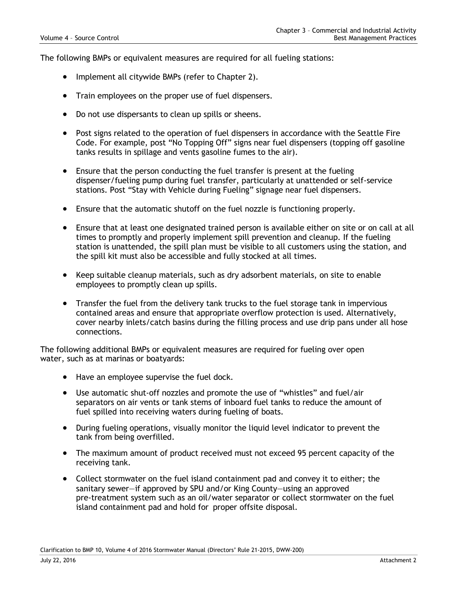The following BMPs or equivalent measures are required for all fueling stations:

- Implement all citywide BMPs (refer to Chapter 2).
- Train employees on the proper use of fuel dispensers.
- Do not use dispersants to clean up spills or sheens.
- Post signs related to the operation of fuel dispensers in accordance with the Seattle Fire Code. For example, post "No Topping Off" signs near fuel dispensers (topping off gasoline tanks results in spillage and vents gasoline fumes to the air).
- Ensure that the person conducting the fuel transfer is present at the fueling dispenser/fueling pump during fuel transfer, particularly at unattended or self-service stations. Post "Stay with Vehicle during Fueling" signage near fuel dispensers.
- Ensure that the automatic shutoff on the fuel nozzle is functioning properly.
- Ensure that at least one designated trained person is available either on site or on call at all times to promptly and properly implement spill prevention and cleanup. If the fueling station is unattended, the spill plan must be visible to all customers using the station, and the spill kit must also be accessible and fully stocked at all times.
- Keep suitable cleanup materials, such as dry adsorbent materials, on site to enable employees to promptly clean up spills.
- Transfer the fuel from the delivery tank trucks to the fuel storage tank in impervious contained areas and ensure that appropriate overflow protection is used. Alternatively, cover nearby inlets/catch basins during the filling process and use drip pans under all hose connections.

The following additional BMPs or equivalent measures are required for fueling over open water, such as at marinas or boatyards:

- Have an employee supervise the fuel dock.
- Use automatic shut-off nozzles and promote the use of "whistles" and fuel/air separators on air vents or tank stems of inboard fuel tanks to reduce the amount of fuel spilled into receiving waters during fueling of boats.
- During fueling operations, visually monitor the liquid level indicator to prevent the tank from being overfilled.
- The maximum amount of product received must not exceed 95 percent capacity of the receiving tank.
- Collect stormwater on the fuel island containment pad and convey it to either; the sanitary sewer—if approved by SPU and/or King County—using an approved pre-treatment system such as an oil/water separator or collect stormwater on the fuel island containment pad and hold for proper offsite disposal.